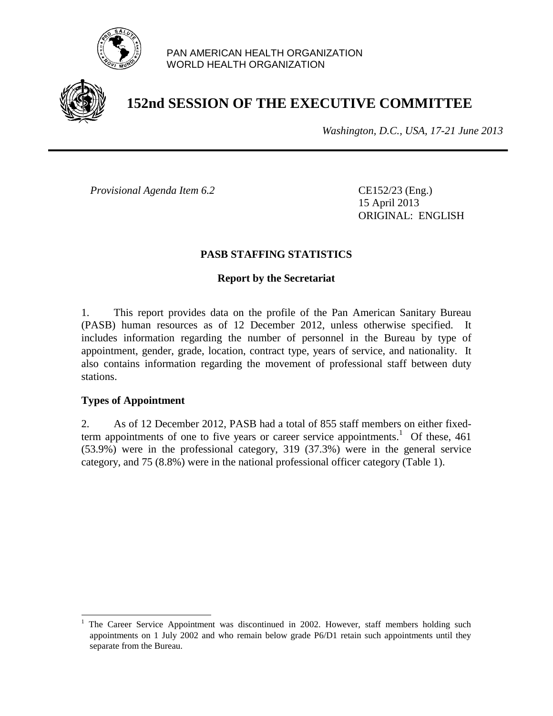

#### PAN AMERICAN HEALTH ORGANIZATION WORLD HEALTH ORGANIZATION



# **152nd SESSION OF THE EXECUTIVE COMMITTEE**

*Washington, D.C., USA, 17-21 June 2013*

*Provisional Agenda Item 6.2* CE152/23 (Eng.)

15 April 2013 ORIGINAL: ENGLISH

#### **PASB STAFFING STATISTICS**

#### **Report by the Secretariat**

1. This report provides data on the profile of the Pan American Sanitary Bureau (PASB) human resources as of 12 December 2012, unless otherwise specified. It includes information regarding the number of personnel in the Bureau by type of appointment, gender, grade, location, contract type, years of service, and nationality. It also contains information regarding the movement of professional staff between duty stations.

#### **Types of Appointment**

l

2. As of 12 December 2012, PASB had a total of 855 staff members on either fixedterm appointments of one to five years or career service appointments.<sup>1</sup> Of these, 461 (53.9%) were in the professional category, 319 (37.3%) were in the general service category, and 75 (8.8%) were in the national professional officer category (Table 1).

<sup>1</sup> The Career Service Appointment was discontinued in 2002. However, staff members holding such appointments on 1 July 2002 and who remain below grade P6/D1 retain such appointments until they separate from the Bureau.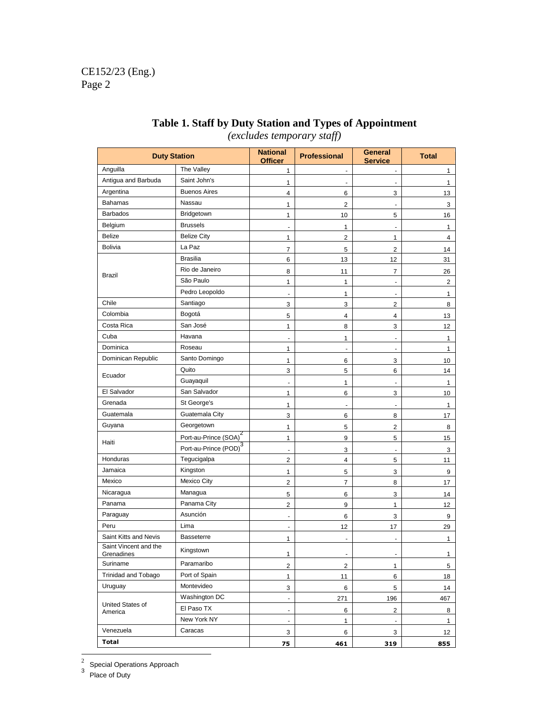| <b>Duty Station</b>                 |                                   | <b>National</b><br><b>Officer</b> | <b>Professional</b>      | General<br><b>Service</b> | <b>Total</b>   |
|-------------------------------------|-----------------------------------|-----------------------------------|--------------------------|---------------------------|----------------|
| Anguilla                            | The Valley                        | $\mathbf{1}$                      | $\overline{\phantom{a}}$ | $\blacksquare$            | 1              |
| Antigua and Barbuda                 | Saint John's                      | 1                                 |                          |                           | 1              |
| Argentina                           | <b>Buenos Aires</b>               | $\overline{4}$                    | 6                        | 3                         | 13             |
| Bahamas                             | Nassau                            | 1                                 | 2                        | $\blacksquare$            | 3              |
| <b>Barbados</b>                     | Bridgetown                        | $\mathbf{1}$                      | 10                       | 5                         | 16             |
| Belgium                             | <b>Brussels</b>                   |                                   | 1                        | ä,                        | 1              |
| <b>Belize</b>                       | <b>Belize City</b>                | 1                                 | 2                        | 1                         | $\overline{4}$ |
| <b>Bolivia</b>                      | La Paz                            | $\overline{7}$                    | 5                        | 2                         | 14             |
|                                     | <b>Brasilia</b>                   | 6                                 | 13                       | 12                        | 31             |
| <b>Brazil</b>                       | Rio de Janeiro                    | 8                                 | 11                       | 7                         | 26             |
|                                     | São Paulo                         | 1                                 | 1                        | $\overline{\phantom{a}}$  | $\overline{2}$ |
|                                     | Pedro Leopoldo                    |                                   | 1                        |                           | 1              |
| Chile                               | Santiago                          | 3                                 | 3                        | 2                         | 8              |
| Colombia                            | Bogotá                            | 5                                 | 4                        | 4                         | 13             |
| Costa Rica                          | San José                          | 1                                 | 8                        | 3                         | 12             |
| Cuba                                | Havana                            |                                   | $\mathbf{1}$             | $\overline{\phantom{a}}$  | 1              |
| Dominica                            | Roseau                            | 1                                 | $\blacksquare$           | $\overline{\phantom{a}}$  | 1              |
| Dominican Republic                  | Santo Domingo                     | $\mathbf{1}$                      | 6                        | 3                         | 10             |
| Ecuador                             | Quito                             | 3                                 | 5                        | 6                         | 14             |
|                                     | Guayaquil                         |                                   | 1                        | ÷                         | 1              |
| El Salvador                         | San Salvador                      | 1                                 | 6                        | 3                         | 10             |
| Grenada                             | St George's                       | 1                                 |                          |                           | 1              |
| Guatemala                           | Guatemala City                    | 3                                 | 6                        | 8                         | 17             |
| Guyana                              | Georgetown                        | 1                                 | 5                        | 2                         | 8              |
| Haiti                               | Port-au-Prince (SOA) <sup>2</sup> | $\mathbf{1}$                      | 9                        | 5                         | 15             |
|                                     | Port-au-Prince (POD) <sup>3</sup> |                                   | 3                        | ä,                        | 3              |
| Honduras                            | Tegucigalpa                       | $\overline{2}$                    | 4                        | 5                         | 11             |
| Jamaica                             | Kingston                          | 1                                 | 5                        | 3                         | 9              |
| Mexico                              | <b>Mexico City</b>                | $\overline{2}$                    | $\overline{7}$           | 8                         | 17             |
| Nicaragua                           | Managua                           | 5                                 | 6                        | 3                         | 14             |
| Panama                              | Panama City                       | $\overline{2}$                    | 9                        | 1                         | 12             |
| Paraguay                            | Asunción                          | ٠                                 | 6                        | 3                         | 9              |
| Peru                                | Lima                              |                                   | 12                       | 17                        | 29             |
| Saint Kitts and Nevis               | <b>Basseterre</b>                 | 1                                 | $\overline{\phantom{a}}$ | $\blacksquare$            | 1              |
| Saint Vincent and the<br>Grenadines | Kingstown                         | $\mathbf{1}$                      | $\overline{\phantom{a}}$ | $\overline{\phantom{a}}$  | $\mathbf{1}$   |
| Suriname                            | Paramaribo                        | $\overline{c}$                    | $\overline{2}$           | 1                         | 5              |
| Trinidad and Tobago                 | Port of Spain                     | $\mathbf{1}$                      | 11                       | 6                         | 18             |
| Uruguay                             | Montevideo                        | 3                                 | 6                        | 5                         | 14             |
|                                     | Washington DC                     | $\overline{\phantom{a}}$          | 271                      | 196                       | 467            |
| United States of<br>America         | El Paso TX                        | $\sim$                            | 6                        | 2                         | 8              |
|                                     | New York NY                       | ä,                                | $\mathbf{1}$             | $\blacksquare$            | $\mathbf{1}$   |
| Venezuela                           | Caracas                           | 3                                 | 6                        | 3                         | 12             |
| <b>Total</b>                        | 75                                | 461                               | 319                      | 855                       |                |

## **Table 1. Staff by Duty Station and Types of Appointment**  *(excludes temporary staff)*

 $\frac{2}{3}$  Special Operations Approach<br><sup>3</sup> Place of Duty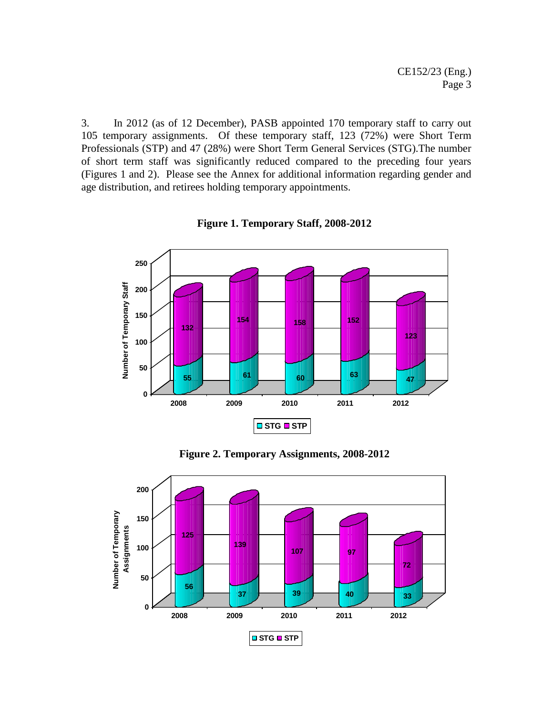3. In 2012 (as of 12 December), PASB appointed 170 temporary staff to carry out temporary assignments. Of these temporary staff, 123 (72%) were Short Term Professionals (STP) and 47 (28%) were Short Term General Services (STG).The number of short term staff was significantly reduced compared to the preceding four years (Figures 1 and 2). Please see the Annex for additional information regarding gender and age distribution, and retirees holding temporary appointments.



**Figure 1. Temporary Staff, 2008-2012**

**Figure 2. Temporary Assignments, 2008-2012**

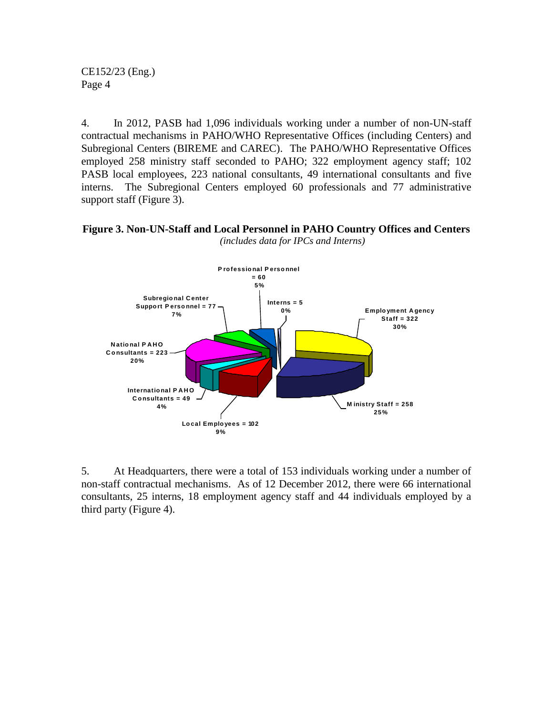4. In 2012, PASB had 1,096 individuals working under a number of non-UN-staff contractual mechanisms in PAHO/WHO Representative Offices (including Centers) and Subregional Centers (BIREME and CAREC). The PAHO/WHO Representative Offices employed 258 ministry staff seconded to PAHO; 322 employment agency staff; 102 PASB local employees, 223 national consultants, 49 international consultants and five interns. The Subregional Centers employed 60 professionals and 77 administrative support staff (Figure 3).

**Figure 3. Non-UN-Staff and Local Personnel in PAHO Country Offices and Centers**  *(includes data for IPCs and Interns)*



5. At Headquarters, there were a total of 153 individuals working under a number of non-staff contractual mechanisms. As of 12 December 2012, there were 66 international consultants, 25 interns, 18 employment agency staff and 44 individuals employed by a third party (Figure 4).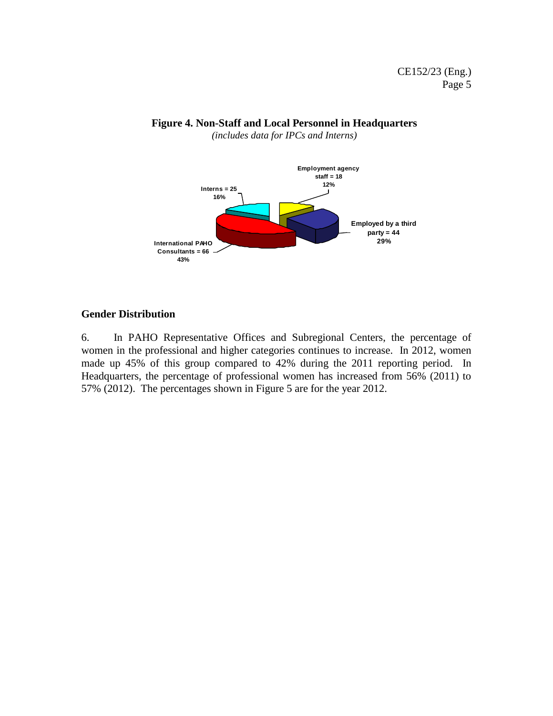

*(includes data for IPCs and Interns)*



### **Gender Distribution**

6. In PAHO Representative Offices and Subregional Centers, the percentage of women in the professional and higher categories continues to increase. In 2012, women made up 45% of this group compared to 42% during the 2011 reporting period. In Headquarters, the percentage of professional women has increased from 56% (2011) to 57% (2012). The percentages shown in Figure 5 are for the year 2012.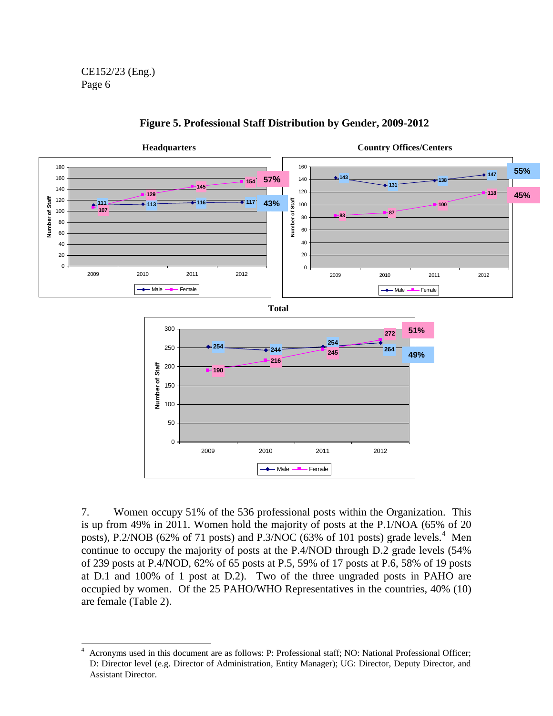



7. Women occupy 51% of the 536 professional posts within the Organization. This is up from 49% in 2011. Women hold the majority of posts at the P.1/NOA (65% of 20 posts), P.2/NOB (62% of 71 posts) and P.3/NOC (63% of 101 posts) grade levels.<sup>4</sup> Men continue to occupy the majority of posts at the P.4/NOD through D.2 grade levels (54% of 239 posts at P.4/NOD, 62% of 65 posts at P.5, 59% of 17 posts at P.6, 58% of 19 posts at D.1 and 100% of 1 post at D.2). Two of the three ungraded posts in PAHO are occupied by women. Of the 25 PAHO/WHO Representatives in the countries, 40% (10) are female (Table 2).

 $\overline{a}$ <sup>4</sup> Acronyms used in this document are as follows: P: Professional staff; NO: National Professional Officer; D: Director level (e.g. Director of Administration, Entity Manager); UG: Director, Deputy Director, and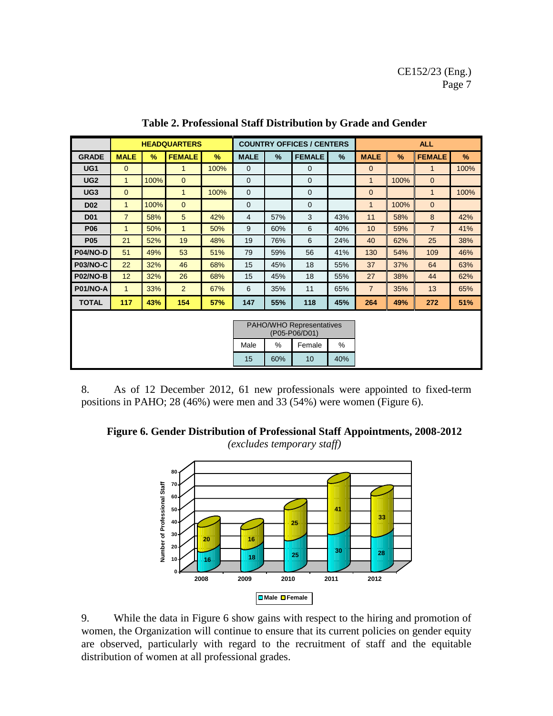|                                           |                |      | <b>HEADQUARTERS</b> |      |              |               | <b>COUNTRY OFFICES / CENTERS</b> |     | <b>ALL</b>     |      |                |      |
|-------------------------------------------|----------------|------|---------------------|------|--------------|---------------|----------------------------------|-----|----------------|------|----------------|------|
| <b>GRADE</b>                              | <b>MALE</b>    | %    | <b>FEMALE</b>       | $\%$ | <b>MALE</b>  | $\frac{9}{6}$ | <b>FEMALE</b>                    | %   | <b>MALE</b>    | $\%$ | <b>FEMALE</b>  | $\%$ |
| UG <sub>1</sub>                           | $\overline{0}$ |      | 1                   | 100% | $\mathbf{0}$ |               | 0                                |     | $\overline{0}$ |      | $\mathbf{1}$   | 100% |
| UG <sub>2</sub>                           | 1              | 100% | $\mathbf{0}$        |      | $\mathbf{0}$ |               | $\mathbf 0$                      |     | $\mathbf{1}$   | 100% | $\mathbf{0}$   |      |
| UG <sub>3</sub>                           | $\mathbf{0}$   |      | $\mathbf{1}$        | 100% | $\mathbf 0$  |               | $\mathbf 0$                      |     | $\overline{0}$ |      | 1              | 100% |
| <b>D02</b>                                | 1              | 100% | $\mathbf{0}$        |      | $\mathbf 0$  |               | $\mathbf 0$                      |     | $\mathbf{1}$   | 100% | $\overline{0}$ |      |
| <b>D01</b>                                | $\overline{7}$ | 58%  | 5                   | 42%  | 4            | 57%           | 3                                | 43% | 11             | 58%  | 8              | 42%  |
| <b>P06</b>                                | $\mathbf{1}$   | 50%  | $\mathbf{1}$        | 50%  | 9            | 60%           | 6                                | 40% | 10             | 59%  | $\overline{7}$ | 41%  |
| <b>P05</b>                                | 21             | 52%  | 19                  | 48%  | 19           | 76%           | 6                                | 24% | 40             | 62%  | 25             | 38%  |
| <b>P04/NO-D</b>                           | 51             | 49%  | 53                  | 51%  | 79           | 59%           | 56                               | 41% | 130            | 54%  | 109            | 46%  |
| <b>P03/NO-C</b>                           | 22             | 32%  | 46                  | 68%  | 15           | 45%           | 18                               | 55% | 37             | 37%  | 64             | 63%  |
| <b>P02/NO-B</b>                           | 12             | 32%  | 26                  | 68%  | 15           | 45%           | 18                               | 55% | 27             | 38%  | 44             | 62%  |
| <b>P01/NO-A</b>                           | 1              | 33%  | 2                   | 67%  | 6            | 35%           | 11                               | 65% | $\overline{7}$ | 35%  | 13             | 65%  |
| <b>TOTAL</b>                              | 117            | 43%  | 154                 | 57%  | 147          | 55%           | 118                              | 45% | 264            | 49%  | 272            | 51%  |
| PAHO/WHO Representatives<br>(P05-P06/D01) |                |      |                     |      |              |               |                                  |     |                |      |                |      |
|                                           |                |      |                     |      | Male         | %             | Female                           | %   |                |      |                |      |
|                                           |                |      |                     |      | 15           | 60%           | 10                               | 40% |                |      |                |      |

**Table 2. Professional Staff Distribution by Grade and Gender**

8. As of 12 December 2012, 61 new professionals were appointed to fixed-term positions in PAHO; 28 (46%) were men and 33 (54%) were women (Figure 6).

**Figure 6. Gender Distribution of Professional Staff Appointments, 2008-2012** *(excludes temporary staff)*



9. While the data in Figure 6 show gains with respect to the hiring and promotion of women, the Organization will continue to ensure that its current policies on gender equity are observed, particularly with regard to the recruitment of staff and the equitable distribution of women at all professional grades.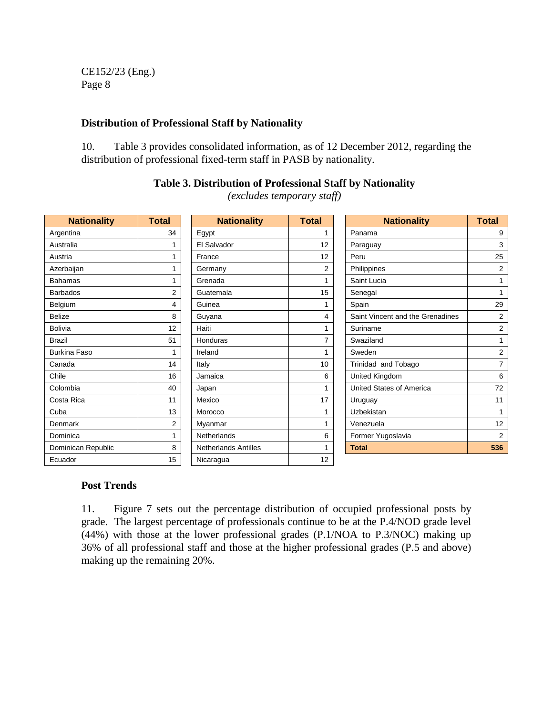#### **Distribution of Professional Staff by Nationality**

10. Table 3 provides consolidated information, as of 12 December 2012, regarding the distribution of professional fixed-term staff in PASB by nationality.

| <b>Nationality</b>  | <b>Total</b>   | <b>Nationality</b>          | <b>Total</b>   | <b>Nationality</b>               | <b>Total</b>   |
|---------------------|----------------|-----------------------------|----------------|----------------------------------|----------------|
| Argentina           | 34             | Egypt                       |                | Panama                           | 9              |
| Australia           |                | El Salvador                 | 12             | Paraguay                         | 3              |
| Austria             |                | France                      | 12             | Peru                             | 25             |
| Azerbaijan          |                | Germany                     | $\overline{2}$ | Philippines                      | 2              |
| <b>Bahamas</b>      |                | Grenada                     |                | Saint Lucia                      |                |
| <b>Barbados</b>     | $\overline{2}$ | Guatemala                   | 15             | Senegal                          | 1              |
| Belgium             | 4              | Guinea                      |                | Spain                            | 29             |
| <b>Belize</b>       | 8              | Guyana                      | 4              | Saint Vincent and the Grenadines | 2              |
| <b>Bolivia</b>      | 12             | Haiti                       |                | Suriname                         | 2              |
| <b>Brazil</b>       | 51             | Honduras                    | 7              | Swaziland                        | 1              |
| <b>Burkina Faso</b> | 1              | Ireland                     |                | Sweden                           | $\overline{2}$ |
| Canada              | 14             | Italy                       | 10             | Trinidad and Tobago              | $\overline{7}$ |
| Chile               | 16             | Jamaica                     | 6              | United Kingdom                   | 6              |
| Colombia            | 40             | Japan                       |                | United States of America         | 72             |
| Costa Rica          | 11             | Mexico                      | 17             | Uruguay                          | 11             |
| Cuba                | 13             | Morocco                     | 1              | Uzbekistan                       | $\mathbf{1}$   |
| Denmark             | 2              | Myanmar                     |                | Venezuela                        | 12             |
| Dominica            |                | Netherlands                 | 6              | Former Yugoslavia                | 2              |
| Dominican Republic  | 8              | <b>Netherlands Antilles</b> |                | <b>Total</b>                     | 536            |
| Ecuador             | 15             | Nicaragua                   | 12             |                                  |                |

#### **Table 3. Distribution of Professional Staff by Nationality**

*(excludes temporary staff)*

#### **Post Trends**

11. Figure 7 sets out the percentage distribution of occupied professional posts by grade. The largest percentage of professionals continue to be at the P.4/NOD grade level (44%) with those at the lower professional grades (P.1/NOA to P.3/NOC) making up 36% of all professional staff and those at the higher professional grades (P.5 and above) making up the remaining 20%.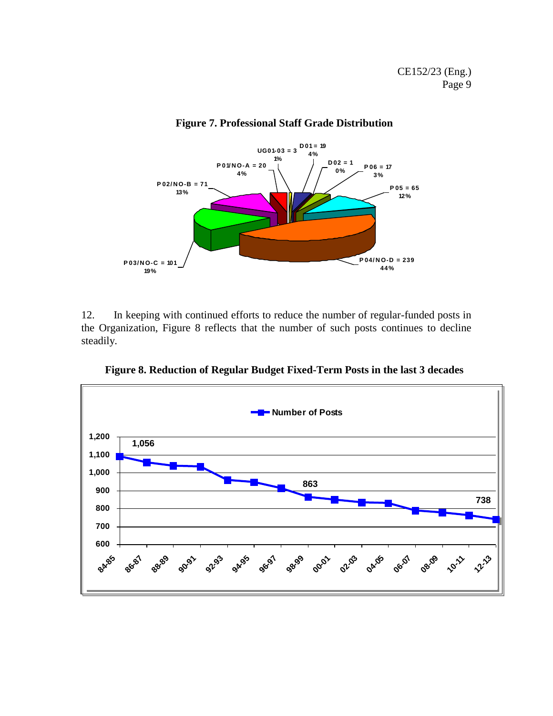

#### **Figure 7. Professional Staff Grade Distribution**

12. In keeping with continued efforts to reduce the number of regular-funded posts in the Organization, Figure 8 reflects that the number of such posts continues to decline steadily.

**Figure 8. Reduction of Regular Budget Fixed-Term Posts in the last 3 decades**

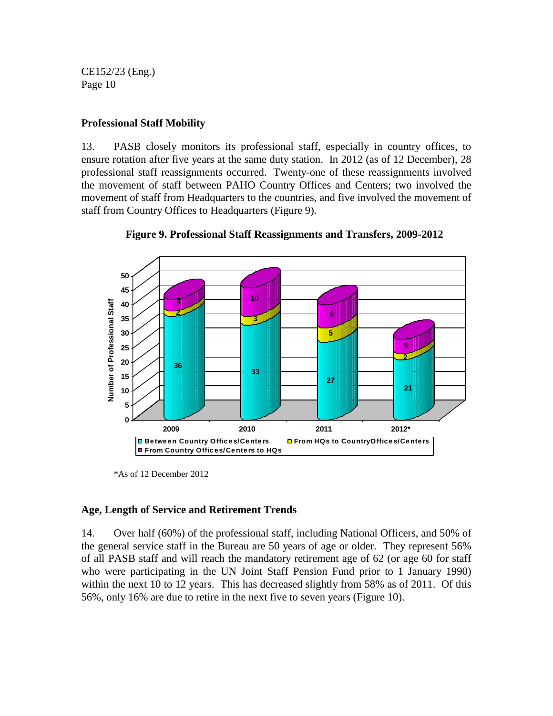#### **Professional Staff Mobility**

13. PASB closely monitors its professional staff, especially in country offices, to ensure rotation after five years at the same duty station. In 2012 (as of 12 December), 28 professional staff reassignments occurred. Twenty-one of these reassignments involved the movement of staff between PAHO Country Offices and Centers; two involved the movement of staff from Headquarters to the countries, and five involved the movement of staff from Country Offices to Headquarters (Figure 9).





#### **Age, Length of Service and Retirement Trends**

14. Over half (60%) of the professional staff, including National Officers, and 50% of the general service staff in the Bureau are 50 years of age or older. They represent 56% of all PASB staff and will reach the mandatory retirement age of 62 (or age 60 for staff who were participating in the UN Joint Staff Pension Fund prior to 1 January 1990) within the next 10 to 12 years. This has decreased slightly from 58% as of 2011. Of this 56%, only 16% are due to retire in the next five to seven years (Figure 10).

<sup>\*</sup>As of 12 December 2012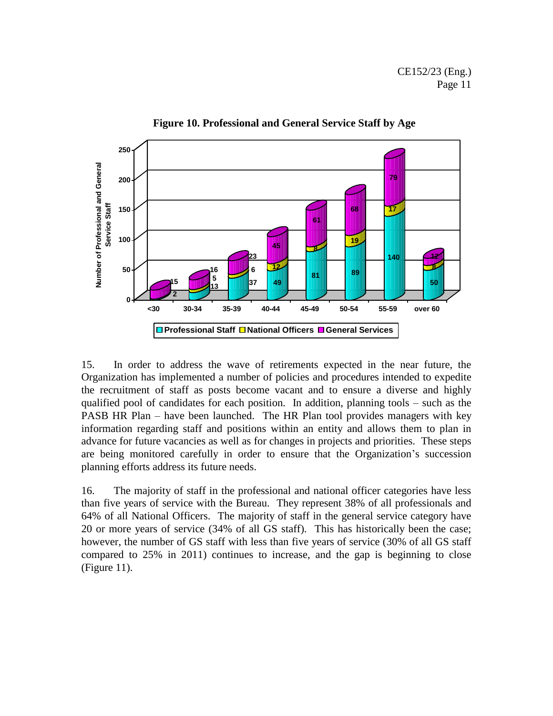

**Figure 10. Professional and General Service Staff by Age**

15. In order to address the wave of retirements expected in the near future, the Organization has implemented a number of policies and procedures intended to expedite the recruitment of staff as posts become vacant and to ensure a diverse and highly qualified pool of candidates for each position. In addition, planning tools – such as the PASB HR Plan – have been launched. The HR Plan tool provides managers with key information regarding staff and positions within an entity and allows them to plan in advance for future vacancies as well as for changes in projects and priorities. These steps are being monitored carefully in order to ensure that the Organization's succession planning efforts address its future needs.

16. The majority of staff in the professional and national officer categories have less than five years of service with the Bureau. They represent 38% of all professionals and 64% of all National Officers. The majority of staff in the general service category have 20 or more years of service (34% of all GS staff). This has historically been the case; however, the number of GS staff with less than five years of service (30% of all GS staff compared to 25% in 2011) continues to increase, and the gap is beginning to close (Figure 11).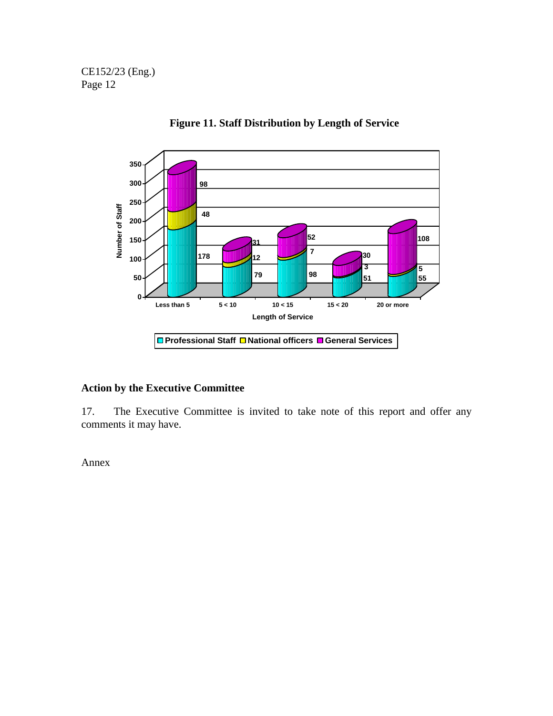

**Figure 11. Staff Distribution by Length of Service**

#### **Action by the Executive Committee**

17. The Executive Committee is invited to take note of this report and offer any comments it may have.

Annex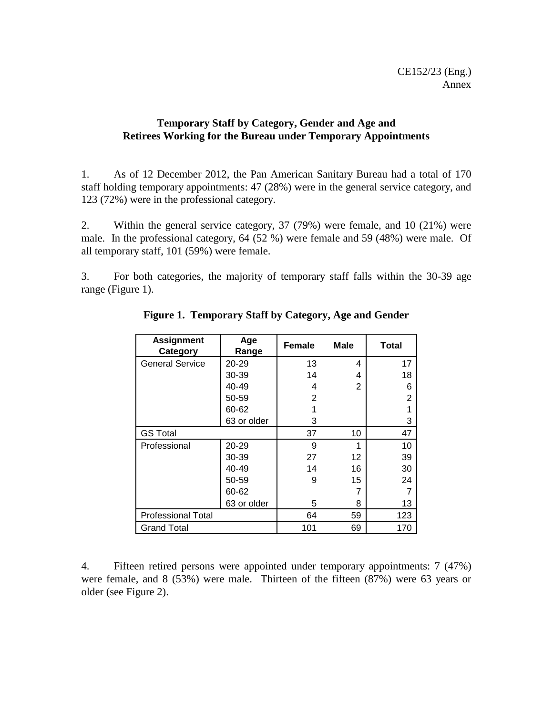#### **Temporary Staff by Category, Gender and Age and Retirees Working for the Bureau under Temporary Appointments**

1. As of 12 December 2012, the Pan American Sanitary Bureau had a total of 170 staff holding temporary appointments: 47 (28%) were in the general service category, and 123 (72%) were in the professional category.

2. Within the general service category, 37 (79%) were female, and 10 (21%) were male. In the professional category, 64 (52 %) were female and 59 (48%) were male. Of all temporary staff, 101 (59%) were female.

3. For both categories, the majority of temporary staff falls within the 30-39 age range (Figure 1).

| <b>Assignment</b><br>Category | Age<br>Range | <b>Female</b>  | <b>Male</b> | <b>Total</b>   |
|-------------------------------|--------------|----------------|-------------|----------------|
| <b>General Service</b>        | 20-29        | 13             | 4           | 17             |
|                               | 30-39        | 14             | 4           | 18             |
|                               | 40-49        | 4              | 2           | 6              |
|                               | 50-59        | $\overline{2}$ |             | $\overline{2}$ |
|                               | 60-62        |                |             |                |
|                               | 63 or older  | 3              |             | 3              |
| <b>GS Total</b>               | 37           | 10             | 47          |                |
| Professional                  | 20-29        | 9              |             | 10             |
|                               | 30-39        | 27             | 12          | 39             |
|                               | 40-49        | 14             | 16          | 30             |
|                               | 50-59        | 9              | 15          | 24             |
|                               | 60-62        |                |             |                |
|                               | 63 or older  | 5              | 8           | 13             |
| <b>Professional Total</b>     | 64           | 59             | 123         |                |
| <b>Grand Total</b>            | 101          | 69             | 170         |                |

**Figure 1. Temporary Staff by Category, Age and Gender**

4. Fifteen retired persons were appointed under temporary appointments: 7 (47%) were female, and 8 (53%) were male. Thirteen of the fifteen (87%) were 63 years or older (see Figure 2).